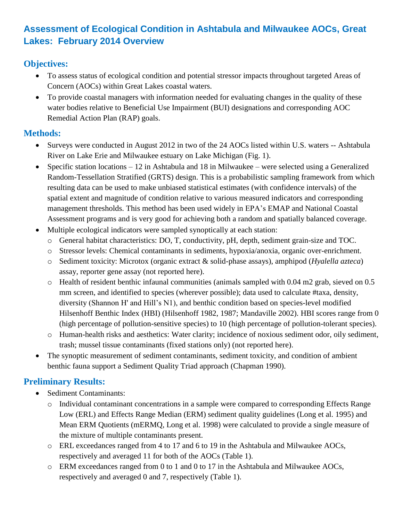# **Assessment of Ecological Condition in Ashtabula and Milwaukee AOCs, Great Lakes: February 2014 Overview**

### **Objectives:**

- To assess status of ecological condition and potential stressor impacts throughout targeted Areas of Concern (AOCs) within Great Lakes coastal waters.
- To provide coastal managers with information needed for evaluating changes in the quality of these water bodies relative to Beneficial Use Impairment (BUI) designations and corresponding AOC Remedial Action Plan (RAP) goals.

### **Methods:**

- Surveys were conducted in August 2012 in two of the 24 AOCs listed within U.S. waters -- Ashtabula River on Lake Erie and Milwaukee estuary on Lake Michigan (Fig. 1).
- Specific station locations 12 in Ashtabula and 18 in Milwaukee were selected using a Generalized Random-Tessellation Stratified (GRTS) design. This is a probabilistic sampling framework from which resulting data can be used to make unbiased statistical estimates (with confidence intervals) of the spatial extent and magnitude of condition relative to various measured indicators and corresponding management thresholds. This method has been used widely in EPA's EMAP and National Coastal Assessment programs and is very good for achieving both a random and spatially balanced coverage.
- Multiple ecological indicators were sampled synoptically at each station:
	- o General habitat characteristics: DO, T, conductivity, pH, depth, sediment grain-size and TOC.
	- o Stressor levels: Chemical contaminants in sediments, hypoxia/anoxia, organic over-enrichment.
	- o Sediment toxicity: Microtox (organic extract & solid-phase assays), amphipod (*Hyalella azteca*) assay, reporter gene assay (not reported here).
	- o Health of resident benthic infaunal communities (animals sampled with 0.04 m2 grab, sieved on 0.5 mm screen, and identified to species (wherever possible); data used to calculate #taxa, density, diversity (Shannon H' and Hill's N1), and benthic condition based on species-level modified Hilsenhoff Benthic Index (HBI) (Hilsenhoff 1982, 1987; Mandaville 2002). HBI scores range from 0 (high percentage of pollution-sensitive species) to 10 (high percentage of pollution-tolerant species).
	- o Human-health risks and aesthetics: Water clarity; incidence of noxious sediment odor, oily sediment, trash; mussel tissue contaminants (fixed stations only) (not reported here).
- The synoptic measurement of sediment contaminants, sediment toxicity, and condition of ambient benthic fauna support a Sediment Quality Triad approach (Chapman 1990).

## **Preliminary Results:**

- Sediment Contaminants:
	- o Individual contaminant concentrations in a sample were compared to corresponding Effects Range Low (ERL) and Effects Range Median (ERM) sediment quality guidelines (Long et al. 1995) and Mean ERM Quotients (mERMQ, Long et al. 1998) were calculated to provide a single measure of the mixture of multiple contaminants present.
	- o ERL exceedances ranged from 4 to 17 and 6 to 19 in the Ashtabula and Milwaukee AOCs, respectively and averaged 11 for both of the AOCs (Table 1).
	- o ERM exceedances ranged from 0 to 1 and 0 to 17 in the Ashtabula and Milwaukee AOCs, respectively and averaged 0 and 7, respectively (Table 1).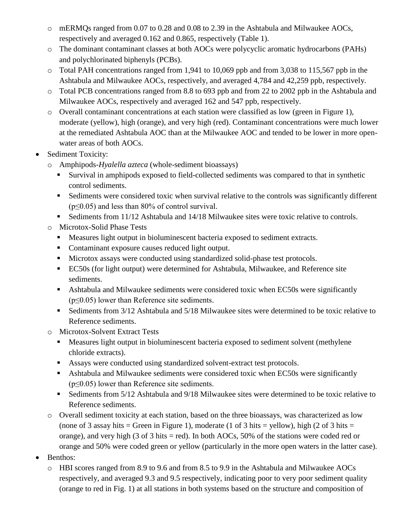- o mERMQs ranged from 0.07 to 0.28 and 0.08 to 2.39 in the Ashtabula and Milwaukee AOCs, respectively and averaged 0.162 and 0.865, respectively (Table 1).
- o The dominant contaminant classes at both AOCs were polycyclic aromatic hydrocarbons (PAHs) and polychlorinated biphenyls (PCBs).
- o Total PAH concentrations ranged from 1,941 to 10,069 ppb and from 3,038 to 115,567 ppb in the Ashtabula and Milwaukee AOCs, respectively, and averaged 4,784 and 42,259 ppb, respectively.
- o Total PCB concentrations ranged from 8.8 to 693 ppb and from 22 to 2002 ppb in the Ashtabula and Milwaukee AOCs, respectively and averaged 162 and 547 ppb, respectively.
- o Overall contaminant concentrations at each station were classified as low (green in Figure 1), moderate (yellow), high (orange), and very high (red). Contaminant concentrations were much lower at the remediated Ashtabula AOC than at the Milwaukee AOC and tended to be lower in more openwater areas of both AOCs.
- Sediment Toxicity:
	- o Amphipods*-Hyalella azteca* (whole-sediment bioassays)
		- Survival in amphipods exposed to field-collected sediments was compared to that in synthetic control sediments.
		- Sediments were considered toxic when survival relative to the controls was significantly different  $(p \le 0.05)$  and less than 80% of control survival.
		- Sediments from 11/12 Ashtabula and 14/18 Milwaukee sites were toxic relative to controls.
	- o Microtox-Solid Phase Tests
		- Measures light output in bioluminescent bacteria exposed to sediment extracts.
		- Contaminant exposure causes reduced light output.
		- Microtox assays were conducted using standardized solid-phase test protocols.
		- EC50s (for light output) were determined for Ashtabula, Milwaukee, and Reference site sediments.
		- Ashtabula and Milwaukee sediments were considered toxic when EC50s were significantly  $(p \le 0.05)$  lower than Reference site sediments.
		- Sediments from 3/12 Ashtabula and 5/18 Milwaukee sites were determined to be toxic relative to Reference sediments.
	- o Microtox-Solvent Extract Tests
		- **Measures light output in bioluminescent bacteria exposed to sediment solvent (methylene** chloride extracts).
		- Assays were conducted using standardized solvent-extract test protocols.
		- Ashtabula and Milwaukee sediments were considered toxic when EC50s were significantly  $(p \le 0.05)$  lower than Reference site sediments.
		- Sediments from 5/12 Ashtabula and 9/18 Milwaukee sites were determined to be toxic relative to Reference sediments.
	- o Overall sediment toxicity at each station, based on the three bioassays, was characterized as low (none of 3 assay hits = Green in Figure 1), moderate (1 of 3 hits = yellow), high (2 of 3 hits = orange), and very high (3 of 3 hits = red). In both AOCs, 50% of the stations were coded red or orange and 50% were coded green or yellow (particularly in the more open waters in the latter case).
- Benthos:
	- o HBI scores ranged from 8.9 to 9.6 and from 8.5 to 9.9 in the Ashtabula and Milwaukee AOCs respectively, and averaged 9.3 and 9.5 respectively, indicating poor to very poor sediment quality (orange to red in Fig. 1) at all stations in both systems based on the structure and composition of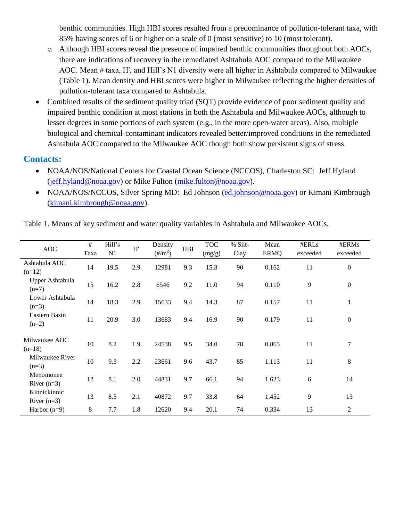benthic communities. High HBI scores resulted from a predominance of pollution-tolerant taxa, with 85% having scores of 6 or higher on a scale of 0 (most sensitive) to 10 (most tolerant).

- o Although HBI scores reveal the presence of impaired benthic communities throughout both AOCs, there are indications of recovery in the remediated Ashtabula AOC compared to the Milwaukee AOC. Mean # taxa, H', and Hill's N1 diversity were all higher in Ashtabula compared to Milwaukee (Table 1). Mean density and HBI scores were higher in Milwaukee reflecting the higher densities of pollution-tolerant taxa compared to Ashtabula.
- Combined results of the sediment quality triad (SQT) provide evidence of poor sediment quality and impaired benthic condition at most stations in both the Ashtabula and Milwaukee AOCs, although to lesser degrees in some portions of each system (e.g., in the more open-water areas). Also, multiple biological and chemical-contaminant indicators revealed better/improved conditions in the remediated Ashtabula AOC compared to the Milwaukee AOC though both show persistent signs of stress.

#### **Contacts:**

- NOAA/NOS/National Centers for Coastal Ocean Science (NCCOS), Charleston SC: Jeff Hyland [\(jeff.hyland@noaa.gov\)](mailto:jeff.hyland@noaa.gov) or Mike Fulton [\(mike.fulton@noaa.gov\)](mailto:mike.fulton@noaa.gov).
- NOAA/NOS/NCCOS, Silver Spring MD: Ed Johnson [\(ed.johnson@noaa.gov\)](mailto:ed.johnson@noaa.gov) or Kimani Kimbrough [\(kimani.kimbrough@noaa.gov\)](mailto:kimani.kimbrough@noaa.gov).

| <b>AOC</b>                    | #<br>Taxa | Hill's<br>N1 | H'  | Density<br>$(\frac{\text{H}}{\text{m}^2})$ | <b>HBI</b> | <b>TOC</b><br>(mg/g) | % Silt-<br>Clay | Mean<br><b>ERMQ</b> | #ERLs<br>exceeded | #ERMs<br>exceeded |
|-------------------------------|-----------|--------------|-----|--------------------------------------------|------------|----------------------|-----------------|---------------------|-------------------|-------------------|
| Ashtabula AOC<br>$(n=12)$     | 14        | 19.5         | 2.9 | 12981                                      | 9.3        | 15.3                 | 90              | 0.162               | 11                | $\boldsymbol{0}$  |
| Upper Ashtabula<br>$(n=7)$    | 15        | 16.2         | 2.8 | 6546                                       | 9.2        | 11.0                 | 94              | 0.110               | 9                 | $\boldsymbol{0}$  |
| Lower Ashtabula<br>$(n=3)$    | 14        | 18.3         | 2.9 | 15633                                      | 9.4        | 14.3                 | 87              | 0.157               | 11                | 1                 |
| Eastern Basin<br>$(n=2)$      | 11        | 20.9         | 3.0 | 13683                                      | 9.4        | 16.9                 | 90              | 0.179               | 11                | $\boldsymbol{0}$  |
| Milwaukee AOC<br>$(n=18)$     | 10        | 8.2          | 1.9 | 24538                                      | 9.5        | 34.0                 | 78              | 0.865               | 11                | 7                 |
| Milwaukee River<br>$(n=3)$    | 10        | 9.3          | 2.2 | 23661                                      | 9.6        | 43.7                 | 85              | 1.113               | 11                | 8                 |
| Menomonee<br>River $(n=3)$    | 12        | 8.1          | 2.0 | 44831                                      | 9.7        | 66.1                 | 94              | 1.623               | 6                 | 14                |
| Kinnickinnic<br>River $(n=3)$ | 13        | 8.5          | 2.1 | 40872                                      | 9.7        | 33.8                 | 64              | 1.452               | 9                 | 13                |
| Harbor $(n=9)$                | 8         | 7.7          | 1.8 | 12620                                      | 9.4        | 20.1                 | 74              | 0.334               | 13                | 2                 |

Table 1. Means of key sediment and water quality variables in Ashtabula and Milwaukee AOCs.